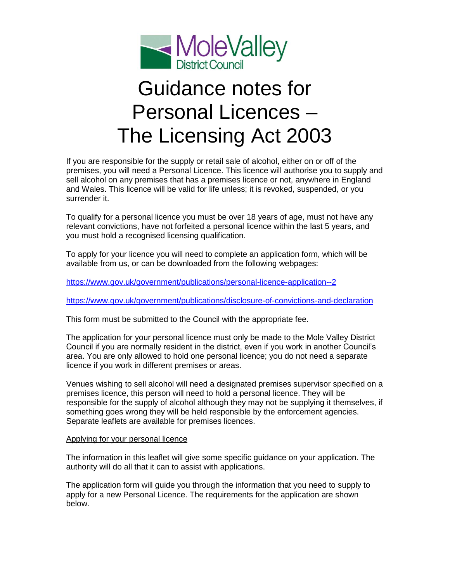

# Guidance notes for Personal Licences – The Licensing Act 2003

If you are responsible for the supply or retail sale of alcohol, either on or off of the premises, you will need a Personal Licence. This licence will authorise you to supply and sell alcohol on any premises that has a premises licence or not, anywhere in England and Wales. This licence will be valid for life unless; it is revoked, suspended, or you surrender it.

To qualify for a personal licence you must be over 18 years of age, must not have any relevant convictions, have not forfeited a personal licence within the last 5 years, and you must hold a recognised licensing qualification.

To apply for your licence you will need to complete an application form, which will be available from us, or can be downloaded from the following webpages:

<https://www.gov.uk/government/publications/personal-licence-application--2>

<https://www.gov.uk/government/publications/disclosure-of-convictions-and-declaration>

This form must be submitted to the Council with the appropriate fee.

The application for your personal licence must only be made to the Mole Valley District Council if you are normally resident in the district, even if you work in another Council's area. You are only allowed to hold one personal licence; you do not need a separate licence if you work in different premises or areas.

Venues wishing to sell alcohol will need a designated premises supervisor specified on a premises licence, this person will need to hold a personal licence. They will be responsible for the supply of alcohol although they may not be supplying it themselves, if something goes wrong they will be held responsible by the enforcement agencies. Separate leaflets are available for premises licences.

#### Applying for your personal licence

The information in this leaflet will give some specific guidance on your application. The authority will do all that it can to assist with applications.

The application form will guide you through the information that you need to supply to apply for a new Personal Licence. The requirements for the application are shown below.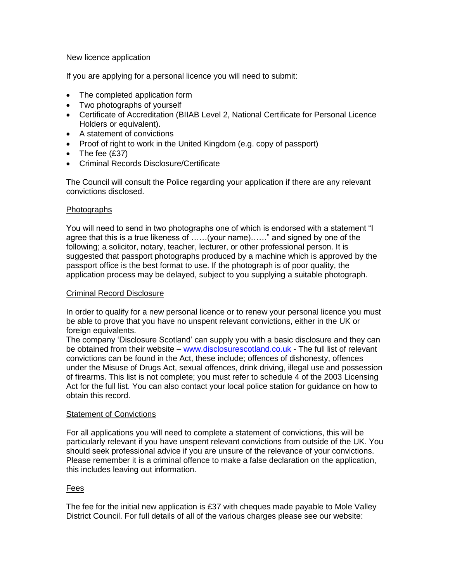### New licence application

If you are applying for a personal licence you will need to submit:

- The completed application form
- Two photographs of yourself
- Certificate of Accreditation (BIIAB Level 2, National Certificate for Personal Licence Holders or equivalent).
- A statement of convictions
- Proof of right to work in the United Kingdom (e.g. copy of passport)
- $\bullet$  The fee (£37)
- Criminal Records Disclosure/Certificate

The Council will consult the Police regarding your application if there are any relevant convictions disclosed.

#### **Photographs**

You will need to send in two photographs one of which is endorsed with a statement "I agree that this is a true likeness of ……(your name)……" and signed by one of the following; a solicitor, notary, teacher, lecturer, or other professional person. It is suggested that passport photographs produced by a machine which is approved by the passport office is the best format to use. If the photograph is of poor quality, the application process may be delayed, subject to you supplying a suitable photograph.

#### Criminal Record Disclosure

In order to qualify for a new personal licence or to renew your personal licence you must be able to prove that you have no unspent relevant convictions, either in the UK or foreign equivalents.

The company 'Disclosure Scotland' can supply you with a basic disclosure and they can be obtained from their website – [www.disclosurescotland.co.uk](http://www.disclosurescotland.co.uk/) - The full list of relevant convictions can be found in the Act, these include; offences of dishonesty, offences under the Misuse of Drugs Act, sexual offences, drink driving, illegal use and possession of firearms. This list is not complete; you must refer to schedule 4 of the 2003 Licensing Act for the full list. You can also contact your local police station for guidance on how to obtain this record.

#### Statement of Convictions

For all applications you will need to complete a statement of convictions, this will be particularly relevant if you have unspent relevant convictions from outside of the UK. You should seek professional advice if you are unsure of the relevance of your convictions. Please remember it is a criminal offence to make a false declaration on the application, this includes leaving out information.

## Fees

The fee for the initial new application is £37 with cheques made payable to Mole Valley District Council. For full details of all of the various charges please see our website: